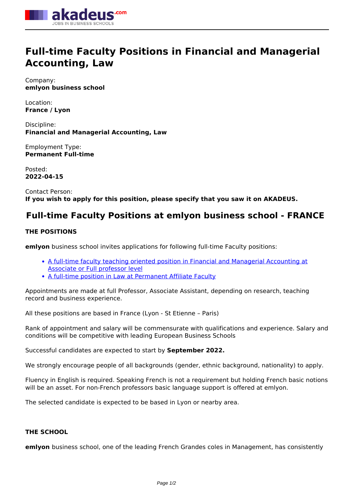

# **Full-time Faculty Positions in Financial and Managerial Accounting, Law**

Company: **emlyon business school**

Location: **France / Lyon**

Discipline: **Financial and Managerial Accounting, Law**

Employment Type: **Permanent Full-time**

Posted: **2022-04-15**

Contact Person: **If you wish to apply for this position, please specify that you saw it on AKADEUS.**

# **Full-time Faculty Positions at emlyon business school - FRANCE**

## **THE POSITIONS**

**emlyon** business school invites applications for following full-time Faculty positions:

- [A full-time faculty teaching oriented position in Financial and Managerial Accounting at](https://hr.em-lyon.com/en/job/faculte-en/1026-a-full-time-faculty-teaching-oriented-position-in-financial-and-managerial-accounting-at-associate-or-full-professor-level-en/) [Associate or Full professor level](https://hr.em-lyon.com/en/job/faculte-en/1026-a-full-time-faculty-teaching-oriented-position-in-financial-and-managerial-accounting-at-associate-or-full-professor-level-en/)
- [A full-time position in Law at Permanent Affiliate Faculty](https://hr.em-lyon.com/en/job/faculte-en/1024-a-full-time-position-in-law-at-permanent-affiliate-faculty-en/)

Appointments are made at full Professor, Associate Assistant, depending on research, teaching record and business experience.

All these positions are based in France (Lyon - St Etienne – Paris)

Rank of appointment and salary will be commensurate with qualifications and experience. Salary and conditions will be competitive with leading European Business Schools

Successful candidates are expected to start by **September 2022.**

We strongly encourage people of all backgrounds (gender, ethnic background, nationality) to apply.

Fluency in English is required. Speaking French is not a requirement but holding French basic notions will be an asset. For non-French professors basic language support is offered at emlyon.

The selected candidate is expected to be based in Lyon or nearby area.

#### **THE SCHOOL**

**emlyon** business school, one of the leading French Grandes coles in Management, has consistently